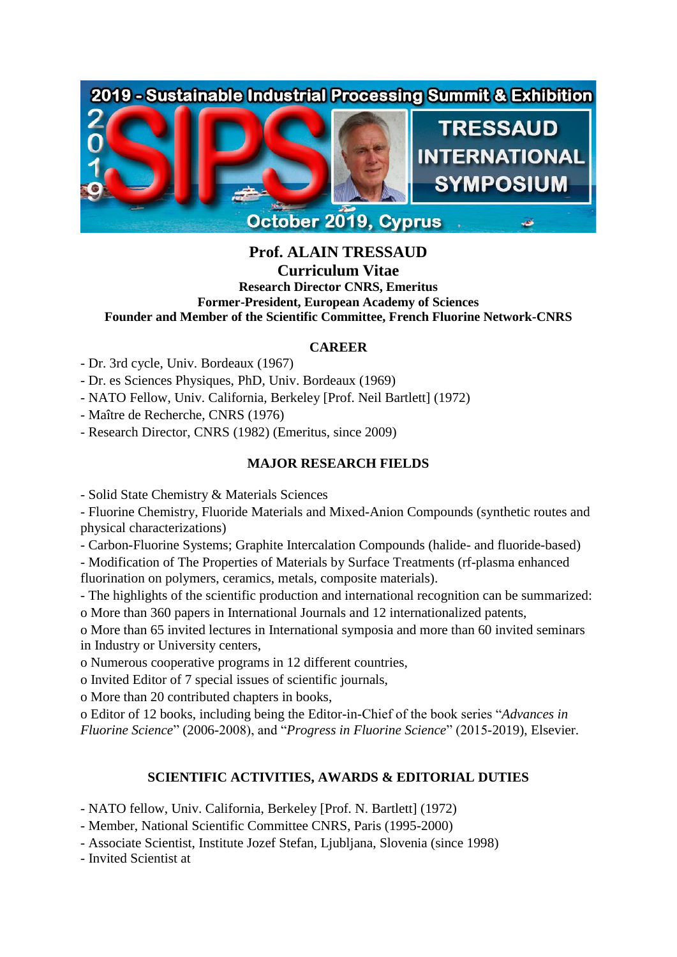## 2019 - Sustainable Industrial Processing Summit & Exhibition



# **Prof. ALAIN TRESSAUD**

### **Curriculum Vitae**

**Research Director CNRS, Emeritus Former-President, European Academy of Sciences Founder and Member of the Scientific Committee, French Fluorine Network-CNRS**

#### **CAREER**

- Dr. 3rd cycle, Univ. Bordeaux (1967)

- Dr. es Sciences Physiques, PhD, Univ. Bordeaux (1969)
- NATO Fellow, Univ. California, Berkeley [Prof. Neil Bartlett] (1972)
- Maître de Recherche, CNRS (1976)
- Research Director, CNRS (1982) (Emeritus, since 2009)

#### **MAJOR RESEARCH FIELDS**

- Solid State Chemistry & Materials Sciences

- Fluorine Chemistry, Fluoride Materials and Mixed-Anion Compounds (synthetic routes and physical characterizations)

- Carbon-Fluorine Systems; Graphite Intercalation Compounds (halide- and fluoride-based)

- Modification of The Properties of Materials by Surface Treatments (rf-plasma enhanced fluorination on polymers, ceramics, metals, composite materials).

- The highlights of the scientific production and international recognition can be summarized: o More than 360 papers in International Journals and 12 internationalized patents,

o More than 65 invited lectures in International symposia and more than 60 invited seminars in Industry or University centers,

o Numerous cooperative programs in 12 different countries,

o Invited Editor of 7 special issues of scientific journals,

o More than 20 contributed chapters in books,

o Editor of 12 books, including being the Editor-in-Chief of the book series "*Advances in Fluorine Science*" (2006-2008), and "*Progress in Fluorine Science*" (2015-2019), Elsevier.

#### **SCIENTIFIC ACTIVITIES, AWARDS & EDITORIAL DUTIES**

- NATO fellow, Univ. California, Berkeley [Prof. N. Bartlett] (1972)

- Member, National Scientific Committee CNRS, Paris (1995-2000)
- Associate Scientist, Institute Jozef Stefan, Ljubljana, Slovenia (since 1998)
- Invited Scientist at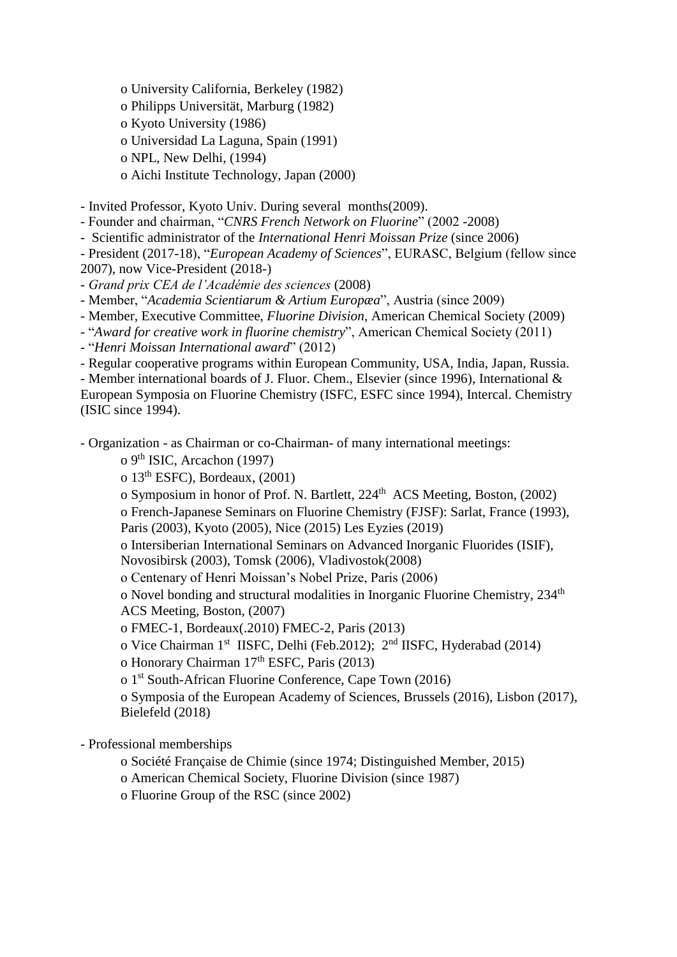o University California, Berkeley (1982)

o Philipps Universität, Marburg (1982)

o Kyoto University (1986)

o Universidad La Laguna, Spain (1991)

o NPL, New Delhi, (1994)

o Aichi Institute Technology, Japan (2000)

- Invited Professor, Kyoto Univ. During several months(2009).

- Founder and chairman, "*CNRS French Network on Fluorine*" (2002 -2008)

- Scientific administrator of the *International Henri Moissan Prize* (since 2006)

- President (2017-18), "*European Academy of Sciences*", EURASC, Belgium (fellow since 2007), now Vice-President (2018-)

- *Grand prix CEA de l'Académie des sciences* (2008)

- Member, "*Academia Scientiarum & Artium Europæa*", Austria (since 2009)

- Member, Executive Committee, *Fluorine Division,* American Chemical Society (2009)

- "*Award for creative work in fluorine chemistry*", American Chemical Society (2011)

- "*Henri Moissan International award*" (2012)

- Regular cooperative programs within European Community, USA, India, Japan, Russia. - Member international boards of J. Fluor. Chem., Elsevier (since 1996), International & European Symposia on Fluorine Chemistry (ISFC, ESFC since 1994), Intercal. Chemistry

(ISIC since 1994).

- Organization - as Chairman or co-Chairman- of many international meetings:

o 9th ISIC, Arcachon (1997)

o  $13<sup>th</sup> ESFC$ ), Bordeaux,  $(2001)$ 

o Symposium in honor of Prof. N. Bartlett, 224<sup>th</sup> ACS Meeting, Boston, (2002)

o French-Japanese Seminars on Fluorine Chemistry (FJSF): Sarlat, France (1993), Paris (2003), Kyoto (2005), Nice (2015) Les Eyzies (2019)

o Intersiberian International Seminars on Advanced Inorganic Fluorides (ISIF), Novosibirsk (2003), Tomsk (2006), Vladivostok(2008)

o Centenary of Henri Moissan's Nobel Prize, Paris (2006)

o Novel bonding and structural modalities in Inorganic Fluorine Chemistry, 234th ACS Meeting, Boston, (2007)

o FMEC-1, Bordeaux(.2010) FMEC-2, Paris (2013)

o Vice Chairman 1<sup>st</sup> IISFC, Delhi (Feb.2012); 2<sup>nd</sup> IISFC, Hyderabad (2014)

o Honorary Chairman 17th ESFC, Paris (2013)

o 1st South-African Fluorine Conference, Cape Town (2016)

o Symposia of the European Academy of Sciences, Brussels (2016), Lisbon (2017), Bielefeld (2018)

- Professional memberships

o Société Française de Chimie (since 1974; Distinguished Member, 2015)

o American Chemical Society, Fluorine Division (since 1987)

o Fluorine Group of the RSC (since 2002)